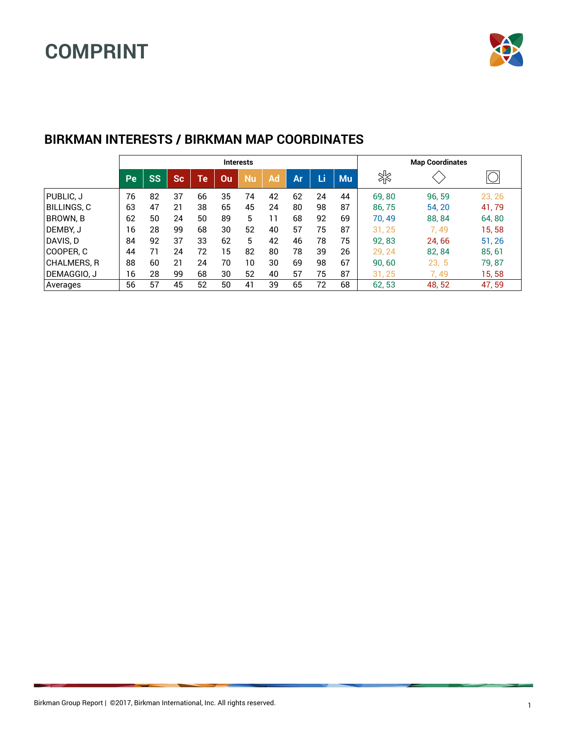

|              |    | <b>Interests</b> |           |                            |    |    |    |    |    |           |        | <b>Map Coordinates</b> |        |
|--------------|----|------------------|-----------|----------------------------|----|----|----|----|----|-----------|--------|------------------------|--------|
|              | Pe | <b>SS</b>        | <b>Sc</b> | $\mathsf{Te}^{\mathsf{I}}$ | Ou | Nu | Ad | Ar | Li | <b>Mu</b> | ℁      |                        |        |
| PUBLIC, J    | 76 | 82               | 37        | 66                         | 35 | 74 | 42 | 62 | 24 | 44        | 69,80  | 96, 59                 | 23, 26 |
| BILLINGS, C  | 63 | 47               | 21        | 38                         | 65 | 45 | 24 | 80 | 98 | 87        | 86,75  | 54, 20                 | 41,79  |
| BROWN, B     | 62 | 50               | 24        | 50                         | 89 | 5  | 11 | 68 | 92 | 69        | 70,49  | 88, 84                 | 64,80  |
| DEMBY, J     | 16 | 28               | 99        | 68                         | 30 | 52 | 40 | 57 | 75 | 87        | 31, 25 | 7.49                   | 15,58  |
| DAVIS, D     | 84 | 92               | 37        | 33                         | 62 | 5  | 42 | 46 | 78 | 75        | 92,83  | 24,66                  | 51, 26 |
| COOPER. C    | 44 |                  | 24        | 72                         | 15 | 82 | 80 | 78 | 39 | 26        | 29, 24 | 82, 84                 | 85, 61 |
| CHALMERS, R  | 88 | 60               | 21        | 24                         | 70 | 10 | 30 | 69 | 98 | 67        | 90,60  | 23, 5                  | 79,87  |
| IDEMAGGIO. J | 16 | 28               | 99        | 68                         | 30 | 52 | 40 | 57 | 75 | 87        | 31.25  | 7.49                   | 15, 58 |
| Averages     | 56 | 57               | 45        | 52                         | 50 | 41 | 39 | 65 | 72 | 68        | 62,53  | 48, 52                 | 47,59  |

#### **BIRKMAN INTERESTS / BIRKMAN MAP COORDINATES**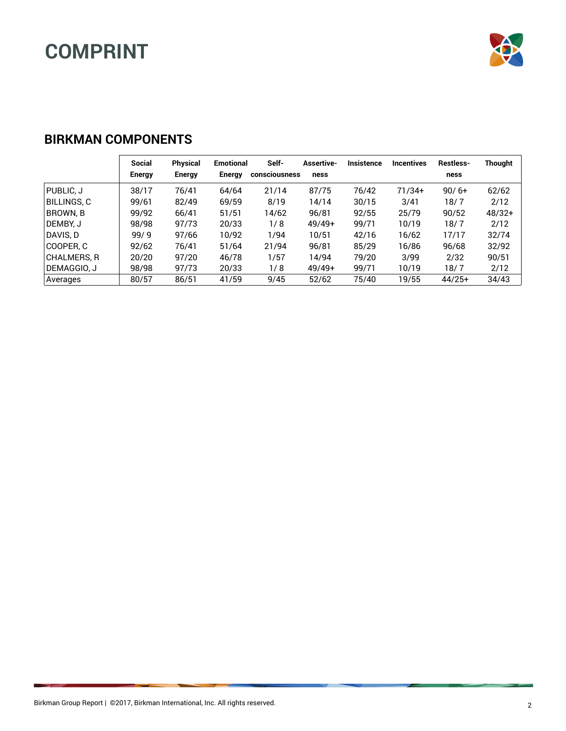

#### **BIRKMAN COMPONENTS**

|             | Social<br>Energy | Physical<br>Energy | <b>Emotional</b><br><b>Energy</b> | Self-<br><b>consciousness</b> | Assertive-<br>ness | <b>Insistence</b> | <b>Incentives</b> | <b>Restless-</b><br>ness | <b>Thought</b> |
|-------------|------------------|--------------------|-----------------------------------|-------------------------------|--------------------|-------------------|-------------------|--------------------------|----------------|
| PUBLIC, J   | 38/17            | 76/41              | 64/64                             | 21/14                         | 87/75              | 76/42             | $71/34+$          | $90/6+$                  | 62/62          |
| BILLINGS, C | 99/61            | 82/49              | 69/59                             | 8/19                          | 14/14              | 30/15             | 3/41              | 18/7                     | 2/12           |
| BROWN, B    | 99/92            | 66/41              | 51/51                             | 14/62                         | 96/81              | 92/55             | 25/79             | 90/52                    | $48/32+$       |
| DEMBY. J    | 98/98            | 97/73              | 20/33                             | 1/8                           | $49/49+$           | 99/71             | 10/19             | 18/7                     | 2/12           |
| DAVIS. D    | 99/9             | 97/66              | 10/92                             | 1/94                          | 10/51              | 42/16             | 16/62             | 17/17                    | 32/74          |
| COOPER. C   | 92/62            | 76/41              | 51/64                             | 21/94                         | 96/81              | 85/29             | 16/86             | 96/68                    | 32/92          |
| CHALMERS. R | 20/20            | 97/20              | 46/78                             | 1/57                          | 14/94              | 79/20             | 3/99              | 2/32                     | 90/51          |
| DEMAGGIO. J | 98/98            | 97/73              | 20/33                             | 1/8                           | $49/49+$           | 99/71             | 10/19             | 18/7                     | 2/12           |
| Averages    | 80/57            | 86/51              | 41/59                             | 9/45                          | 52/62              | 75/40             | 19/55             | $44/25+$                 | 34/43          |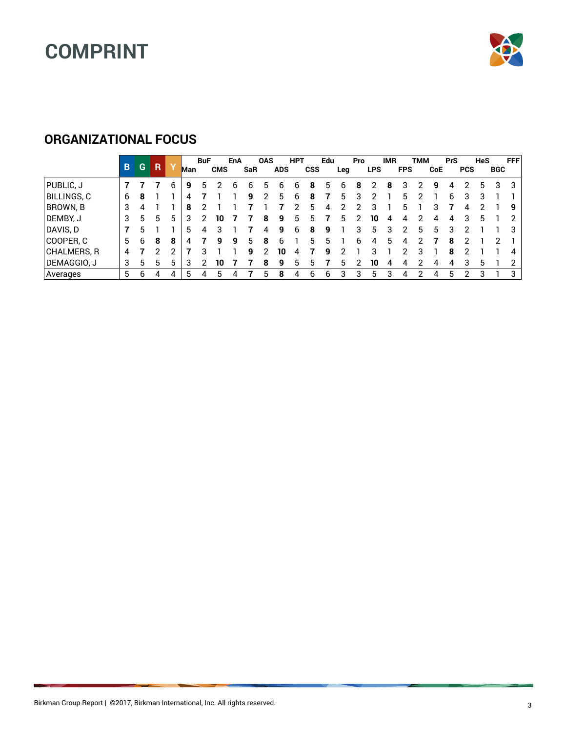

#### **ORGANIZATIONAL FOCUS**

|             | B. | G  | R |   | Man | <b>BuF</b> | <b>CMS</b> | EnA | SaR | <b>OAS</b> | <b>ADS</b> | <b>HPT</b> | <b>CSS</b> | Edu | Leg | <b>Pro</b> | <b>LPS</b> | <b>IMR</b> | <b>FPS</b> | тмм | <b>CoE</b> | <b>PrS</b> | <b>PCS</b> | <b>HeS</b> | <b>BGC</b> | <b>FFF</b> |
|-------------|----|----|---|---|-----|------------|------------|-----|-----|------------|------------|------------|------------|-----|-----|------------|------------|------------|------------|-----|------------|------------|------------|------------|------------|------------|
| PUBLIC, J   |    |    |   | 6 | 9   | h          |            | h   | h   |            | 6          | h          | 8          | 5   | h   | 8          |            | 8          | з          |     | q          | 4          | ר          | 5          | 3          | 3          |
| BILLINGS, C | 6  | 8  |   |   | Δ   |            |            |     | q   |            | 5          | 6          | 8          |     | h.  | 3          |            |            | 5          |     |            | 6          | 3          |            |            |            |
| BROWN, B    | 3  | 4  |   |   | 8   | ◠          |            |     |     |            |            |            | 5          | 4   |     |            |            |            | 5          |     |            |            | 4          |            |            | 9          |
| DEMBY, J    | 3  | 5  | 5 | 5 | з   | 2          | 10         |     |     | 8          | 9          | 5          | 5          |     | h.  | 2          | 10         | 4          | Δ.         |     | Δ          | 4          | 3          | 5          |            | 2          |
| DAVIS, D    |    | 5. |   |   | 5   | 4          | З          |     |     | Δ.         | 9          | 6          | 8          | q   |     | 3          | 5          | 3          | າ          | 5   | 5          | з          | ົ          |            |            | 3          |
| COOPER, C   | 5  | 6  | 8 | 8 |     |            | q          | g   |     | 8          | 6          |            | 5          | h   |     | h          |            | 5          |            |     |            | 8          |            |            |            |            |
| CHALMERS, R | 4  |    |   | ◠ |     |            |            |     | q   |            | 10         | 4          |            | q   |     |            |            |            |            |     |            | 8          |            |            |            | 4          |
| DEMAGGIO, J | 3  | 5  |   | 5 | 3   | າ          | 10         |     |     | 8          | 9          | 5          | 5          |     | h.  |            | 10         | 4          | 4          |     | Δ          | 4          | 3          | 5          |            | 2          |
| Averages    | 5  | 6  | Δ | 4 | 5   |            | 5          |     |     |            | 8          |            | 6          | հ   |     | З          | 5          | 3          | Δ          |     |            |            | ົ          | 3          |            | 3          |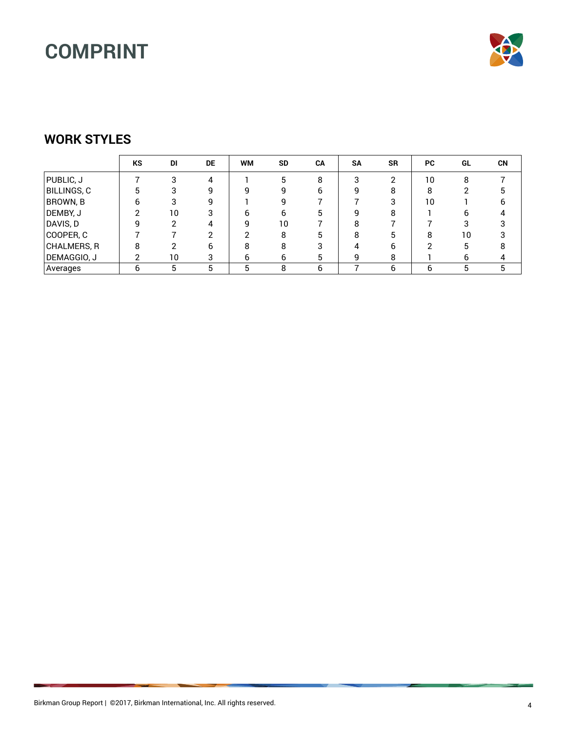

#### **WORK STYLES**

|                   | KS      | DI | <b>DE</b> | <b>WM</b> | <b>SD</b> | CA | <b>SA</b> | <b>SR</b> | <b>PC</b> | GL | <b>CN</b> |
|-------------------|---------|----|-----------|-----------|-----------|----|-----------|-----------|-----------|----|-----------|
| PUBLIC, J         |         | 3  | 4         |           | 5         | 8  | ≏         | ◠         | 10        | 8  |           |
| BILLINGS, C       | 5       | 3  | a         |           | q         |    |           | 8         | 8         |    |           |
| BROWN, B          | 6       | 3  | g         |           | g         |    |           |           | 10        |    |           |
| DEMBY, J          |         | 10 |           | 6         | 6         |    | Ω         | 8         |           | 6  |           |
| DAVIS, D          |         | ◠  | 4         | q         | 10        |    |           |           |           |    |           |
| $\vert$ COOPER, C |         |    |           |           | 8         |    |           |           | 8         | 10 |           |
| CHALMERS, R       | Ω<br>25 | ົ  | 6         | 8         | 8         |    |           | -6        | ◠         |    |           |
| DEMAGGIO, J       | ົ       | 10 | 3         | 6         | 6         |    |           | 8         |           | 6  |           |
| Averages          | 6       | 5  | 5         | 5         | 8         | 6  |           | 6         | 6         | 5  | 5         |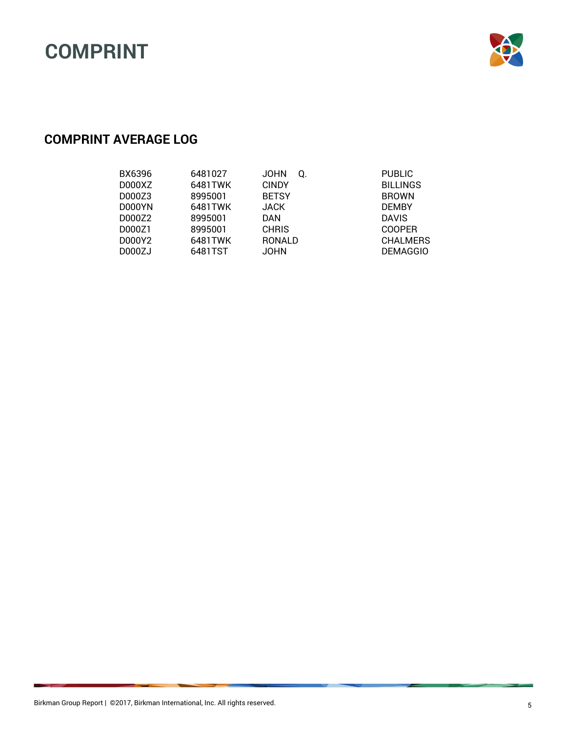

### **COMPRINT AVERAGE LOG**

| BX6396<br>D000XZ | 6481027<br>6481TWK | <b>JOHN</b><br>Q.<br><b>CINDY</b> | <b>PUBLIC</b><br><b>BILLINGS</b> |
|------------------|--------------------|-----------------------------------|----------------------------------|
| D000Z3<br>D000YN | 8995001<br>6481TWK | <b>BETSY</b><br><b>JACK</b>       | <b>BROWN</b><br><b>DEMBY</b>     |
| D000Z2           | 8995001            | DAN                               | <b>DAVIS</b>                     |
| D000Z1<br>D000Y2 | 8995001<br>6481TWK | <b>CHRIS</b><br><b>RONALD</b>     | <b>COOPER</b><br><b>CHALMERS</b> |
| D000ZJ           | 6481TST            | <b>JOHN</b>                       | <b>DEMAGGIO</b>                  |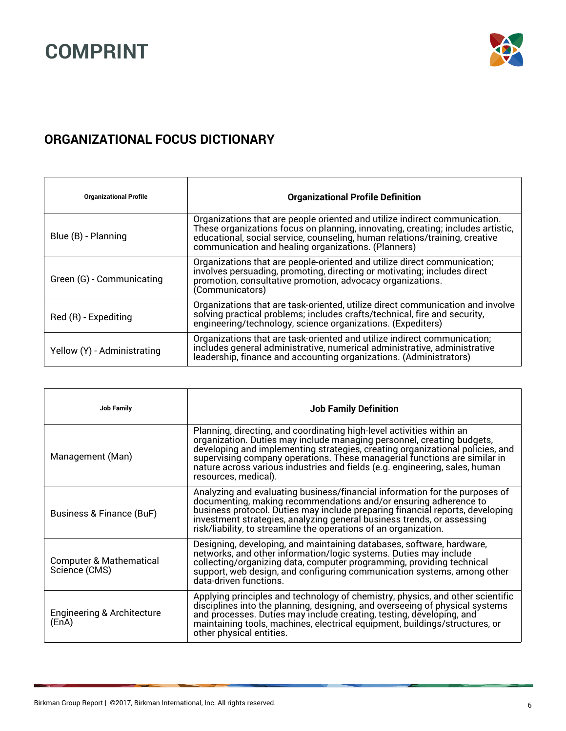

### **ORGANIZATIONAL FOCUS DICTIONARY**

| <b>Organizational Profile</b> | <b>Organizational Profile Definition</b>                                                                                                                                                                                                                                                            |
|-------------------------------|-----------------------------------------------------------------------------------------------------------------------------------------------------------------------------------------------------------------------------------------------------------------------------------------------------|
| Blue (B) - Planning           | Organizations that are people oriented and utilize indirect communication.<br>These organizations focus on planning, innovating, creating; includes artistic,<br>educational, social service, counseling, human relations/training, creative<br>communication and healing organizations. (Planners) |
| Green (G) - Communicating     | Organizations that are people-oriented and utilize direct communication;<br>involves persuading, promoting, directing or motivating; includes direct<br>promotion, consultative promotion, advocacy organizations.<br>(Communicators)                                                               |
| Red (R) - Expediting          | Organizations that are task-oriented, utilize direct communication and involve<br>solving practical problems; includes crafts/technical, fire and security,<br>engineering/technology, science organizations. (Expediters)                                                                          |
| Yellow (Y) - Administrating   | Organizations that are task-oriented and utilize indirect communication;<br>includes general administrative, numerical administrative, administrative<br>leadership, finance and accounting organizations. (Administrators)                                                                         |

| <b>Job Family</b>                                   | <b>Job Family Definition</b>                                                                                                                                                                                                                                                                                                                                                                                         |
|-----------------------------------------------------|----------------------------------------------------------------------------------------------------------------------------------------------------------------------------------------------------------------------------------------------------------------------------------------------------------------------------------------------------------------------------------------------------------------------|
| Management (Man)                                    | Planning, directing, and coordinating high-level activities within an<br>organization. Duties may include managing personnel, creating budgets,<br>developing and implementing strategies, creating organizational policies, and<br>supervising company operations. These managerial functions are similar in<br>nature across various industries and fields (e.g. engineering, sales, human<br>resources, medical). |
| Business & Finance (BuF)                            | Analyzing and evaluating business/financial information for the purposes of<br>documenting, making recommendations and/or ensuring adherence to<br>business protocol. Duties may include preparing financial reports, developing<br>investment strategies, analyzing general business trends, or assessing<br>risk/liability, to streamline the operations of an organization.                                       |
| <b>Computer &amp; Mathematical</b><br>Science (CMS) | Designing, developing, and maintaining databases, software, hardware,<br>networks, and other information/logic systems. Duties may include<br>collecting/organizing data, computer programming, providing technical<br>support, web design, and configuring communication systems, among other<br>data-driven functions.                                                                                             |
| Engineering & Architecture<br>(EnA)                 | Applying principles and technology of chemistry, physics, and other scientific disciplines into the planning, designing, and overseeing of physical systems and processes. Duties may include creating, testing, developing, a<br>other physical entities.                                                                                                                                                           |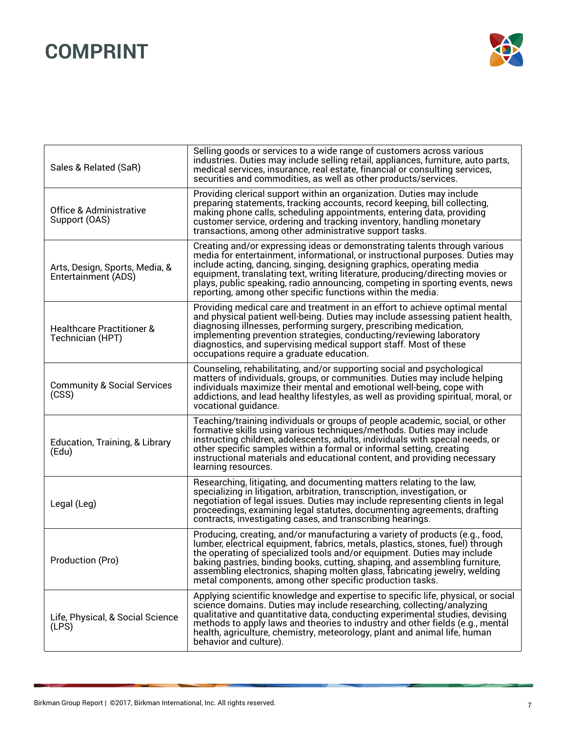

|                                                          | Selling goods or services to a wide range of customers across various                                                                                                                                                                                                                                                                                                                                                                                                |
|----------------------------------------------------------|----------------------------------------------------------------------------------------------------------------------------------------------------------------------------------------------------------------------------------------------------------------------------------------------------------------------------------------------------------------------------------------------------------------------------------------------------------------------|
| Sales & Related (SaR)                                    | industries. Duties may include selling retail, appliances, furniture, auto parts,<br>medical services, insurance, real estate, financial or consulting services,<br>securities and commodities, as well as other products/services.                                                                                                                                                                                                                                  |
| <b>Office &amp; Administrative</b><br>Support (OAS)      | Providing clerical support within an organization. Duties may include<br>preparing statements, tracking accounts, record keeping, bill collecting,<br>making phone calls, scheduling appointments, entering data, providing<br>customer service, ordering and tracking inventory, handling monetary<br>transactions, among other administrative support tasks.                                                                                                       |
| Arts, Design, Sports, Media, &<br>Entertainment (ADS)    | Creating and/or expressing ideas or demonstrating talents through various<br>media for entertainment, informational, or instructional purposes. Duties may<br>include acting, dancing, singing, designing graphics, operating media<br>equipment, translating text, writing literature, producing/directing movies or<br>plays, public speaking, radio announcing, competing in sporting events, news<br>reporting, among other specific functions within the media. |
| <b>Healthcare Practitioner &amp;</b><br>Technician (HPT) | Providing medical care and treatment in an effort to achieve optimal mental<br>and physical patient well-being. Duties may include assessing patient health,<br>diagnosing illnesses, performing surgery, prescribing medication,<br>implementing prevention strategies, conducting/reviewing laboratory<br>diagnostics, and supervising medical support staff. Most of these<br>occupations require a graduate education.                                           |
| <b>Community &amp; Social Services</b><br>(CSS)          | Counseling, rehabilitating, and/or supporting social and psychological<br>matters of individuals, groups, or communities. Duties may include helping<br>individuals maximize their mental and emotional well-being, cope with<br>addictions, and lead healthy lifestyles, as well as providing spiritual, moral, or<br>vocational guidance.                                                                                                                          |
| Education, Training, & Library<br>(Edu)                  | Teaching/training individuals or groups of people academic, social, or other<br>formative skills using various techniques/methods. Duties may include<br>instructing children, adolescents, adults, individuals with special needs, or<br>other specific samples within a formal or informal setting, creating<br>instructional materials and educational content, and providing necessary<br>learning resources.                                                    |
| Legal (Leg)                                              | Researching, litigating, and documenting matters relating to the law,<br>specializing in litigation, arbitration, transcription, investigation, or<br>negotiation of legal issues. Duties may include representing clients in legal<br>proceedings, examining legal statutes, documenting agreements, drafting<br>contracts, investigating cases, and transcribing hearings.                                                                                         |
| Production (Pro)                                         | Producing, creating, and/or manufacturing a variety of products (e.g., food,<br>lumber, electrical equipment, fabrics, metals, plastics, stones, fuel) through<br>the operating of specialized tools and/or equipment. Duties may include<br>baking pastries, binding books, cutting, shaping, and assembling furniture,<br>assembling electronics, shaping molten glass, fabricating jewelry, welding<br>metal components, among other specific production tasks.   |
| Life, Physical, & Social Science<br>(LPS)                | Applying scientific knowledge and expertise to specific life, physical, or social<br>science domains. Duties may include researching, collecting/analyzing<br>qualitative and quantitative data, conducting experimental studies, devising<br>methods to apply laws and theories to industry and other fields (e.g., mental<br>health, agriculture, chemistry, meteorology, plant and animal life, human<br>behavior and culture).                                   |